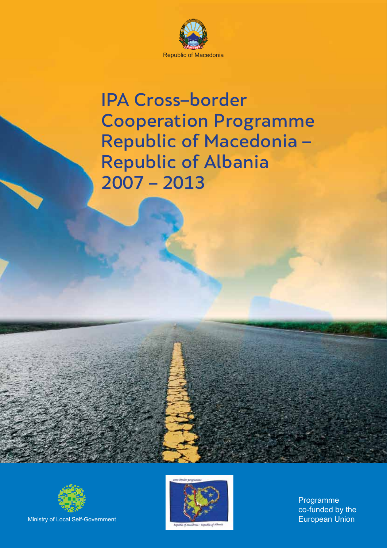

# IPA Cross–border Cooperation Programme Republic of Macedonia – Republic of Albania 2007 – 2013



Ministry of Local Self-Government



Programme co-funded by the European Union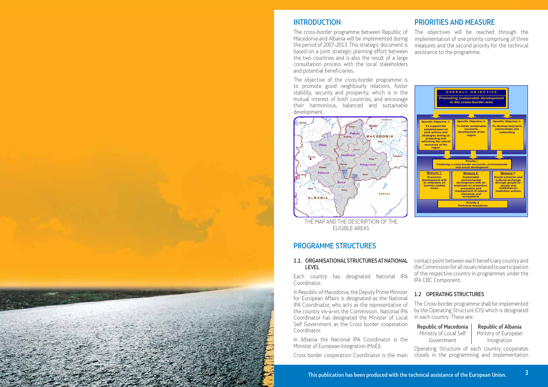## INTRODUCTION

The cross–border programme between Republic of Macedonia and Albania will be implemented during the period of 2007–2013. This strategic document is based on a joint strategic planning effort between the two countries and is also the result of a large consultation process with the local stakeholders and potential beneficiaries.

The objective of the cross–border programme is to promote good neighbourly relations, foster stability, security and prosperity, which is in the mutual interest of both countries, and encourage their harmonious, balanced and sustainable development.



THE MAP AND THE DESCRIPTION OF THE ELIGIBLE AREAS

## PRIORITIES AND MEASURE

The objectives will be reached through the implementation of one priority comprising of three measures and the second priority for the technical assistance to the programme.



Republic of Macedonia Republic of Albania Ministry of Local Self Government

### PROGRAMME STRUCTURES

#### 1.1. ORGANISATIONAL STRUCTURES AT NATIONAL LEVEL

Each country has designated National IPA Coordinator.

In Republic of Macedonia, the Deputy Prime Minister for European Affairs is designated as the National IPA Coordinator, who acts as the representative of the country vis–à–vis the Commission. National IPA Coordinator has designated the Minister of Local Self Government as the Cross border cooperation Coordinator.

In Albania the National IPA Coordinator is the Minister of European Integration (MoEI).

Cross border cooperation Coordinator is the main

contact point between each beneficiary country and the Commission for all issues related to participation of the respective country in programmes under the IPA CBC Component.

### 1.2 OPERATING STRUCTURES

The Cross–border programme shall be implemented by the Operating Structure (OS) which is designated in each country. These are:

> Ministry of European Integration

Operating Structure of each country cooperates closely in the programming and implementation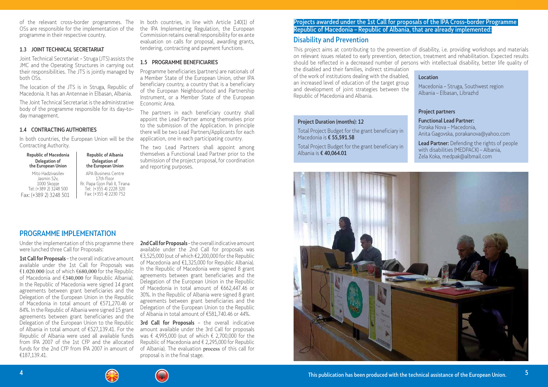of the relevant cross–border programmes. The OSs are responsible for the implementation of the programme in their respective country.

#### 1.3 JOINT TECHNICAL SECRETARIAT

Joint Technical Secretariat – Struga (JTS) assists the JMC and the Operating Structures in carrying out their responsibilities. The JTS is jointly managed by both OSs.

#### Republic of Macedonia | Republic of Albania Delegation of the European Union

The location of the JTS is in Struga, Republic of Macedonia. It has an Antennae in Elbasan, Albania.

The Joint Technical Secretariat is the administrative body of the programme responsible for its day–to– day management.

#### 1.4 CONTRACTING AUTHORITIES

In both countries, the European Union will be the Contracting Authority.

Mito Hadzivasilev Jasmin 52v, 1000 Skopje Tel: (+389 2) 3248 500 Fax: (+389 2) 3248 501

Delegation of the European Union APA Business Centre 17th floor Rr. Papa Gjon Pali II, Tirana Tel: (+355 4) 2228 320 Fax: (+355 4) 2230 752

In both countries, in line with Article 140(1) of the IPA Implementing Regulation, the European Commission retains overall responsibility for ex ante evaluation on calls for proposal, awarding grants, tendering, contracting and payment functions.

#### 1.5 PROGRAMME BENEFICIARIES

1st Call for Proposals – the overall indicative amount available under the 1st Call for Proposals was €1.020.000 (out of which €680,000 for the Republic of Macedonia and €340,000 for Republic Albania). In the Republic of Macedonia were signed 14 grant agreements between grant beneficiaries and the Delegation of the European Union in the Republic of Macedonia in total amount of €571,270.46 or 84%. In the Republic of Albania were signed 15 grant agreements between grant beneficiaries and the Delegation of the European Union to the Republic of Albania in total amount of €527,139.41. For the Republic of Albania were used all available funds from IPA 2007 of the 1st CfP and the allocated funds for the 2nd CfP from IPA 2007 in amount of €187,139.41.

Programme beneficiaries (partners) are nationals of a Member State of the European Union, other IPA beneficiary country, a country that is a beneficiary of the European Neighbourhood and Partnership Instrument, or a Member State of the European Economic Area.

The partners in each beneficiary country shall appoint the Lead Partner among themselves prior to the submission of the Application. In principle there will be two Lead Partners/Applicants for each application, one in each participating country.

2nd Call for Proposals – the overall indicative amount available under the 2nd Call for proposals was €3,525,000 (out of which €2,200,000 for the Republic of Macedonia and €1,325,000 for Republic Albania). In the Republic of Macedonia were signed 8 grant agreements between grant beneficiaries and the Delegation of the European Union in the Republic of Macedonia in total amount of €662,447.46 or 30%. In the Republic of Albania were signed 8 grant agreements between grant beneficiaries and the Delegation of the European Union to the Republic of Albania in total amount of €581,740.46 or 44%.

3rd Call for Proposals - the overall indicative amount available under the 3rd Call for proposals was € 4,995,000 (out of which € 2,700,000 for the Republic of Macedonia and € 2,295,000 for Republic of Albania). The evaluation process of this call for proposal is in the final stage.



The two Lead Partners shall appoint among themselves a Functional Lead Partner prior to the submission of the project proposal, for coordination and reporting purposes.

## PROGRAMME IMPLEMENTATION

Under the implementation of this programme there were lunched three Call for Proposals:

Lead Partner: Defending the rights of people with disabilities (MEDPACK) – Albania, Zela Koka, medpak@albmail.com

## Disability and Prevention

This project aims at contributing to the prevention of disability, i.e. providing workshops and materials on relevant issues related to early prevention, detection, treatment and rehabilitation. Expected results should be reflected in a decreased number of persons with intellectual disability, better life quality of the disabled and their families, indirect stimulation of the work of institutions dealing with the disabled, an increased level of education of the target group and development of joint strategies between the Republic of Macedonia and Albania. Location Macedonia – Struga, Southwest region Albania – Elbasan, Librazhd

#### Project Duration (months): 12

Total Project Budget for the grant beneficiary in Macedonia is € 55,591.58

Total Project Budget for the grant beneficiary in Albania is € 40,064.01



#### Project partners

Functional Lead Partner: Poraka Nova – Macedonia, Anita Gagovska, porakanova@yahoo.com

## Projects awarded under the 1st Call for proposals of the IPA Cross–border Programme Republic of Macedonia – Republic of Albania, that are already implemented: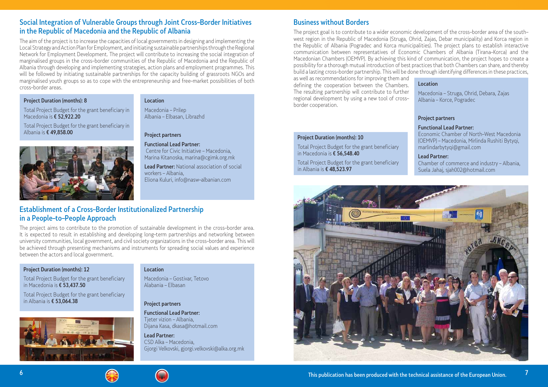## Social Integration of Vulnerable Groups through Joint Cross–Border Initiatives in the Republic of Macedonia and the Republic of Albania

The aim of the project is to increase the capacities of local governments in designing and implementing the Local Strategy and Action Plan for Employment, and initiating sustainable partnerships through the Regional Network for Employment Development. The project will contribute to increasing the social integration of marginalised groups in the cross–border communities of the Republic of Macedonia and the Republic of Albania through developing and implementing strategies, action plans and employment programmes. This will be followed by initiating sustainable partnerships for the capacity building of grassroots NGOs and marginalised youth groups so as to cope with the entrepreneurship and free–market possibilities of both cross–border areas.

### Project Duration (months): 8

Total Project Budget for the grant beneficiary in Macedonia is € 52,922.20

Total Project Budget for the grant beneficiary in Albania is € 49,858.00



### Location

Macedonia – Prilep Albania – Elbasan, Librazhd

### Project partners

Functional Lead Partner: Centre for Civic Initiative – Macedonia, Marina Kitanoska, marina@cgimk.org.mk

Lead Partner: National association of social workers – Albania, Eliona Kuluri, info@nasw–albanian.com

## Establishment of a Cross–Border Institutionalized Partnership in a People–to–People Approach

The project aims to contribute to the promotion of sustainable development in the cross–border area. It is expected to result in establishing and developing long–term partnerships and networking between university communities, local government, and civil society organizations in the cross–border area. This will be achieved through presenting mechanisms and instruments for spreading social values and experience between the actors and local government.

### Project Duration (months): 12

Total Project Budget for the grant beneficiary in Macedonia is € 53,437.50

Total Project Budget for the grant beneficiary in Albania is € 53,064.38



### Location

Macedonia – Gostivar, Tetovo Alabania – Elbasan

### Project partners

Functional Lead Partner: Tjeter vizion – Albania, Dijana Kasa, dkasa@hotmail.com

Lead Partner: CSD Alka – Macedonia, Gjorgi Velkovski, gjorgi.velkovski@alka.org.mk

## Business without Borders

The project goal is to contribute to a wider economic development of the cross–border area of the south– west region in the Republic of Macedonia (Struga, Ohrid, Zajas, Debar municipality) and Korca region in the Republic of Albania (Pogradec and Korca municipalities). The project plans to establish interactive communication between representatives of Economic Chambers of Albania (Tirana–Korca) and the Macedonian Chambers (OEMVP). By achieving this kind of communication, the project hopes to create a possibility for a thorough mutual introduction of best practices that both Chambers can share, and thereby build a lasting cross–border partnership. This will be done through identifying differences in these practices, as well as recommendations for improving them and defining the cooperation between the Chambers. The resulting partnership will contribute to further regional development by using a new tool of cross– border cooperation. Location Macedonia – Struga, Ohrid, Debara, Zajas Albania – Korce, Pogradec

#### Project Duration (months): 10

Total Project Budget for the grant beneficiary in Macedonia is € 56,548.40

Total Project Budget for the grant beneficiary in Albania is € 48,523.97





#### Project partners

#### Functional Lead Partner:

Economic Chamber of North–West Macedonia (OEMVP) – Macedonia, Mirlinda Rushiti Bytyqi, marlindarbytyqi@gmail.com

#### Lead Partner:

Chamber of commerce and industry – Albania, Suela Jahaj, sjah002@hotmail.com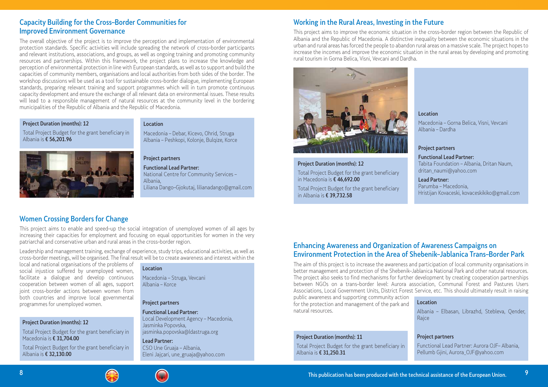## Capacity Building for the Cross–Border Communities for Improved Environment Governance

The overall objective of the project is to improve the perception and implementation of environmental protection standards. Specific activities will include spreading the network of cross–border participants and relevant institutions, associations, and groups, as well as ongoing training and promoting community resources and partnerships. Within this framework, the project plans to increase the knowledge and perception of environmental protection in line with European standards, as well as to support and build the capacities of community members, organisations and local authorities from both sides of the border. The workshop discussions will be used as a tool for sustainable cross–border dialogue, implementing European standards, preparing relevant training and support programmes which will in turn promote continuous capacity development and ensure the exchange of all relevant data on environmental issues. These results will lead to a responsible management of natural resources at the community level in the bordering municipalities of the Republic of Albania and the Republic of Macedonia.

#### Project Duration (months): 12

Total Project Budget for the grant beneficiary in Albania is € 56,201.96



#### Location

Macedonia – Debar, Kicevo, Ohrid, Struga Albania – Peshkopi, Kolonje, Bulqize, Korce

## Project partners

Functional Lead Partner: National Centre for Community Services – Albania, Liliana Dango–Gjokutaj, lilianadango@gmail.com

## Women Crossing Borders for Change

This project aims to enable and speed–up the social integration of unemployed women of all ages by increasing their capacities for employment and focusing on equal opportunities for women in the very patriarchal and conservative urban and rural areas in the cross–border region.

Leadership and management training, exchange of experience, study trips, educational activities, as well as cross–border meetings, will be organised. The final result will be to create awareness and interest within the

local and national organisations of the problems of social injustice suffered by unemployed women, facilitate a dialogue and develop continuous cooperation between women of all ages, support joint cross–border actions between women from both countries and improve local governmental programmes for unemployed women.

### Project Duration (months): 12

Total Project Budget for the grant beneficiary in Macedonia is € 31,704.00

Total Project Budget for the grant beneficiary in Albania is € 32,130.00

#### Location

Macedonia – Struga, Vevcani Albania – Korce

#### Project partners

Functional Lead Partner: Local Development Agency – Macedonia, Jasminka Popovska, jasminka.popovska@ldastruga.org

Lead Partner: CSO Une Gruaja – Albania, Eleni Jajçari, une\_gruaja@yahoo.com

## Enhancing Awareness and Organization of Awareness Campaigns on Environment Protection in the Area of Shebenik–Jablanica Trans–Border Park

The aim of this project is to increase the awareness and participation of local community organisations in better management and protection of the Shebenik–Jablanica National Park and other natural resources. The project also seeks to find mechanisms for further development by creating cooperation partnerships between NGOs on a trans–border level: Aurora association, Communal Forest and Pastures Users Associations, Local Government Units, District Forest Service, etc. This should ultimately result in raising public awareness and supporting community action for the protection and management of the park and natural resources. Location Albania – Elbasan, Librazhd, Stebleva, Qender,

#### Project Duration (months): 11

Total Project Budget for the grant beneficiary in Albania is € 31,250.31



Rajce

### Project partners

Functional Lead Partner: Aurora OJF– Albania, Pellumb Gjini, Aurora\_OJF@yahoo.com

## Working in the Rural Areas, Investing in the Future

This project aims to improve the economic situation in the cross–border region between the Republic of Albania and the Republic of Macedonia. A distinctive inequality between the economic situations in the urban and rural areas has forced the people to abandon rural areas on a massive scale. The project hopes to increase the incomes and improve the economic situation in the rural areas by developing and promoting rural tourism in Gorna Belica, Visni, Vevcani and Dardha.



### Project Duration (months): 12

Total Project Budget for the grant beneficiary in Macedonia is € 46,692.00

Total Project Budget for the grant beneficiary in Albania is € 39,732.58

#### Location

Macedonia – Gorna Belica, Visni, Vevcani Albania – Dardha

#### Project partners

#### Functional Lead Partner:

Tabita Foundation – Albania, Dritan Naum, dritan\_naumi@yahoo.com

#### Lead Partner:

Parumba – Macedonia, Hristijan Kovaceski, kovaceskikiko@gmail.com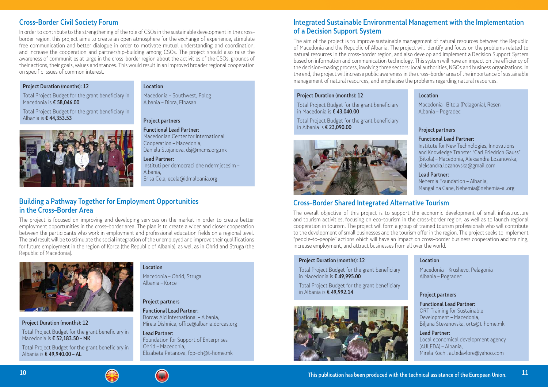## Cross–Border Civil Society Forum

In order to contribute to the strengthening of the role of CSOs in the sustainable development in the cross– border region, this project aims to create an open atmosphere for the exchange of experience, stimulate free communication and better dialogue in order to motivate mutual understanding and coordination, and increase the cooperation and partnership–building among CSOs. The project should also raise the awareness of communities at large in the cross–border region about the activities of the CSOs, grounds of their actions, their goals, values and stances. This would result in an improved broader regional cooperation on specific issues of common interest.

### Project Duration (months): 12

Total Project Budget for the grant beneficiary in Macedonia is € 58,046.00

Total Project Budget for the grant beneficiary in Albania is € 44,353.53



#### Location

Macedonia – Southwest, Polog Albania – Dibra, Elbasan

#### Project partners

Functional Lead Partner: Macedonian Center for International

Cooperation – Macedonia, Daniela Stojanova, dsj@mcms.org.mk

#### Lead Partner:

Instituti per democraci dhe ndermjetesim – Albania, Erisa Cela, ecela@idmalbania.org

## Building a Pathway Together for Employment Opportunities in the Cross–Border Area

The project is focused on improving and developing services on the market in order to create better employment opportunities in the cross–border area. The plan is to create a wider and closer cooperation between the participants who work in employment and professional education fields on a regional level. The end result will be to stimulate the social integration of the unemployed and improve their qualifications for future employment in the region of Korca (the Republic of Albania), as well as in Ohrid and Struga (the Republic of Macedonia).



Project Duration (months): 12

Total Project Budget for the grant beneficiary in Macedonia is € 52,183.50 – MK

Total Project Budget for the grant beneficiary in Albania is € 49,940.00 – AL

#### Location

Macedonia – Ohrid, Struga Albania – Korce

#### Project partners

Functional Lead Partner: Dorcas Aid International – Albania, Mirela Dishnica, office@albania.dorcas.org

Lead Partner: Foundation for Support of Enterprises Ohrid – Macedonia, Elizabeta Petanova, fpp–oh@t–home.mk

## Integrated Sustainable Environmental Management with the Implementation of a Decision Support System

The aim of the project is to improve sustainable management of natural resources between the Republic of Macedonia and the Republic of Albania. The project will identify and focus on the problems related to natural resources in the cross–border region, and also develop and implement a Decision Support System based on information and communication technology. This system will have an impact on the efficiency of the decision–making process, involving three sectors: local authorities, NGOs and business organizations. In the end, the project will increase public awareness in the cross–border area of the importance of sustainable management of natural resources, and emphasise the problems regarding natural resources.

#### Project Duration (months): 12

Total Project Budget for the grant beneficiary in Macedonia is € 43,040.00

Total Project Budget for the grant beneficiary in Albania is € 23,090.00



#### Location

Macedonia– Bitola (Pelagonia), Resen Albania – Pogradec

#### Project partners

#### Functional Lead Partner:

Institute for New Technologies, Innovations and Knowledge Transfer "Carl Friedrich Gauss" (Bitola) – Macedonia, Aleksandra Lozanovska, aleksandra.lozanovska@gmail.com

#### Lead Partner:

Nehemia Foundation – Albania, Mangalina Cane, Nehemia@nehemia–al.org

## Cross–Border Shared Integrated Alternative Tourism

The overall objective of this project is to support the economic development of small infrastructure and tourism activities, focusing on eco–tourism in the cross–border region, as well as to launch regional cooperation in tourism. The project will form a group of trained tourism professionals who will contribute to the development of small businesses and the tourism offer in the region. The project seeks to implement "people–to–people" actions which will have an impact on cross–border business cooperation and training, increase employment, and attract businesses from all over the world.

#### Project Duration (months): 12

Total Project Budget for the grant beneficiary in Macedonia is € 49,995.00

Total Project Budget for the grant beneficiary in Albania is € 49,992.14





#### Location

Macedonia – Krushevo, Pelagonia Albania – Pogradec

#### Project partners

Functional Lead Partner: ORT Training for Sustainable Development – Macedonia, Biljana Stevanovska, orts@t–home.mk

#### Lead Partner:

Local economical development agency (AULEDA) – Albania, Mirela Kochi, auledavlore@yahoo.com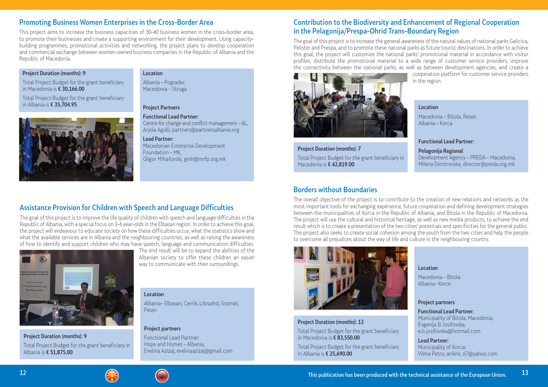## Assistance Provision for Children with Speech and Language Difficulties

The goal of this project is to improve the life quality of children with speech and language difficulties in the Republic of Albania, with a special focus on 3–6 year–olds in the Elbasan region. In order to achieve this goal, the project will endeavour to educate society on how these difficulties occur, what the statistics show and what the available services are in Albania and the neighbouring countries, as well as raising the awareness of how to identify and support children who may have speech, language and communication difficulties.



The end result will be to expand the abilities of the Albanian society to offer these children an easier way to communicate with their surroundings.

Project Duration (months): 9 Total Project Budget for the grant beneficiary in Albania is € 51,875.00

#### Location

Albania– Elbasan, Cerrik, Librazhd, Gramsh, Peqin

### Project partners

Functional Lead Partner: Hope and Homes – Albania, Evelina Azizaj, evelinaazizaj@gmail.com

## Promoting Business Women Enterprises in the Cross–Border Area

This project aims to increase the business capacities of 30–40 business women in the cross–border area, to promote their businesses and create a supporting environment for their development. Using capacity– building programmes, promotional activities and networking, the project plans to develop cooperation and commercial exchange between women–owned business companies in the Republic of Albania and the Republic of Macedonia.

### Project Duration (months): 9

Total Project Budget for the grant beneficiary in Macedonia is € 30,166.00

Total Project Budget for the grant beneficiary in Albania is € 35,704.95



#### Location

Albania – Pogradec Macedonia – Struga

### Project Partners

Functional Lead Partner: Centre for change and conflict management – AL, Arjola Agolli, partners@partnersalbania.org

Lead Partner: Macedonian Enterprise Development Foundation – MK, Gligor Mihailovski, gmh@mrfp.org.mk

## Contribution to the Biodiversity and Enhancement of Regional Cooperation in the Pelagonija/Prespa–Ohrid Trans–Boundary Region

The goal of this project is to increase the general awareness of the natural values of national parks Galicica, Pelister and Prespa, and to promote these national parks as future tourist destinations. In order to achieve this goal, the project will customize the national parks' promotional material in accordance with visitor profiles, distribute the promotional material to a wide range of customer service providers, improve the connectivity between the national parks, as well as between development agencies, and create a cooperation platform for customer service providers in the region.



Project Duration (months): 7 Total Project Budget for the grant beneficiary in Macedonia is € 42,819.00

#### Location

Macedonia – Bitola, Resen Albania – Korca

#### Functional Lead Partner:

Pelagonija Regional

Development Agency – PREDA – Macedonia, Milena Dimitrovska, director@preda.org.mk

## Borders without Boundaries

The overall objective of the project is to contribute to the creation of new relations and networks as the most important tools for exchanging experience, future cooperation and defining development strategies between the municipalities of Korca in the Republic of Albania, and Bitola in the Republic of Macedonia. The project will use the cultural and historical heritage, as well as new media products, to achieve the end result which is to create a presentation of the two cities' potentials and specificities for the general public. The project also seeks to create social cohesion among the youth from the two cities and help the people to overcome all prejudices about the way of life and culture in the neighbouring country.



#### Project Duration (months): 12

Total Project Budget for the grant beneficiary in Macedonia is € 83,550.00

Total Project Budget for the grant beneficiary in Albania is € 25,690.00



#### Location

Macedonia – Bitola Albania– Korce

#### Project partners

Functional Lead Partner: Municipality of Bitola, Macedonia, Evgenija B.Josifovska, e.b.josifovska@hotmail.com

#### Lead Partner:

Municipality of Korca: Vilma Petro, anikris\_67@yahoo.com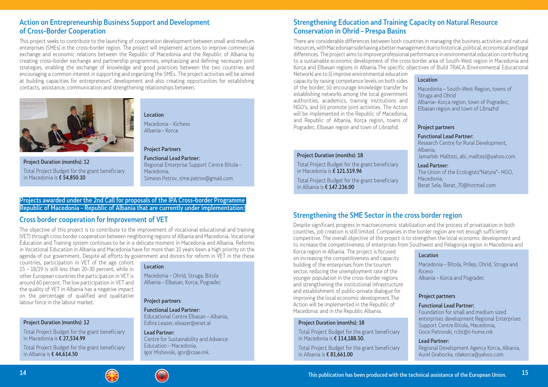## Strengthening Education and Training Capacity on Natural Resource Conservation in Ohrid – Prespa Basins

There are considerable differences between both countries in managing the business activities and natural resources, with Macedonian side having a better management due to historical, political, economical and legal differences. The project aims to improve professional performance in environmental education contributing to a sustainable economic development of the cross border area of South–West region in Macedonia and Korça and Elbasan regions in Albania.The specific objectives of Build TRACA (Environmental Educational Network) are to (i) improve environmental education capacity by raising competence levels on both sides of the border; (ii) encourage knowledge transfer by establishing networks among the local government authorities, academics, training institutions and NGO's, and (iii) promote joint activities. The Action will be implemented in the Republic of Macedonia, and Republic of Albania, Korça region, towns of Pogradec; Elbasan region and town of Librazhd. Location Macedonia – South–West Region, towns of Struga and Ohrid Albania– Korça region, town of Pogradec; Elbasan region and town of Librazhd Project partners

#### Project Duration (months): 18

Total Project Budget for the grant beneficiary in Macedonia is € 121.519.96

Total Project Budget for the grant beneficiary in Albania is € 147.236.00

#### Functional Lead Partner:

Research Centre for Rural Development, Albania, Jamarbër Malltezi, abi\_malltezi@yahoo.com

#### Lead Partner:

The Union of the Ecologists"Natyra"– NGO, Macedonia, Berat Sela, Berat\_70@hotmail.com

## Cross border cooperation for Improvement of VET

The objective of this project is to contribute to the improvement of vocational educational and training (VET) through cross border cooperation between neighboring regions of Albania and Macedonia. Vocational Education and Training system continues to be in a delicate moment in Macedonia and Albania. Reforms in Vocational Education in Albania and Macedonia have for more than 10 years been a high priority on the agenda of our government. Despite all efforts by government and donors for reform in VET in the these

countries, participation in VET of the age cohort 15 – 18/19 is still less than 20–30 percent, while in other European countries the participation in VET is around 60 percent. The low participation in VET and the quality of VET in Albania has a negative impact on the percentage of qualified and qualitative labour force in the labour market.

### Project Duration (months): 12

Total Project Budget for the grant beneficiary in Macedonia is € 27,534.99

Total Project Budget for the grant beneficiary in Albania is € 44,614.50

#### Location

Macedonia – Ohrid, Struga, Bitola Albania – Elbasan, Korca, Pogradec

#### Project partners

Functional Lead Partner: Educational Centre Elbasan – Albania, Edlira Leazer, eleazer@enet.al

Lead Partner: Centre for Sustainability and Advance Education – Macedonia, Igor Mishevski, igor@csae.mk.

## Action on Entrepreneurship Business Support and Development of Cross–Border Cooperation

This project seeks to contribute to the launching of cooperation development between small and medium enterprises (SMEs) in the cross–border region. The project will implement actions to improve commercial exchange and economic relations between the Republic of Macedonia and the Republic of Albania by creating cross–border exchange and partnership programmes, emphasizing and defining necessary joint strategies, enabling the exchange of knowledge and good practices between the two countries and encouraging a common interest in supporting and organizing the SMEs. The project activities will be aimed at building capacities for entrepreneurs' development and also creating opportunities for establishing contacts, assistance, communication and strengthening relationships between.



Project Duration (months): 12 Total Project Budget for the grant beneficiary in Macedonia is € 54,850.10

### Location

Macedonia – Kichevo Albania – Korca

#### Project Partners

Functional Lead Partner: Regional Enterprise Support Centre Bitola – Macedonia, Simeon Petrov, sime.petrov@gmail.com

## Strengthening the SME Sector in the cross border region

Despite significant progress in macroeconomic stabilization and the process of privatization in both countries, job creation is still limited. Companies in the border region are not enough sufficiently competitive. The overall objective of the project is to strengthen the local economic development and to increase the competitiveness of enterprises from Southwest and Pelagonija region in Macedonia and Korca region in Albania. The project is focused on increasing the competitiveness and capacity building of the enterprises from the tourism sector, reducing the unemployment rate of the younger population in the cross–border regions and strengthening the institutional infrastructure and establishment of public–private dialogue for improving the local economic development.The Action will be implemented in the Republic of Macedonia: and in the Republic Albania. Location Macedonia – Bitola, Prilep, Ohrid, Struga and Kicevo Albania – Korca and Pogradec Project partners Functional Lead Partner: Foundation for small and medium sized

#### Project Duration (months): 18

Total Project Budget for the grant beneficiary in Macedonia is € 114,188.50.

Total Project Budget for the grant beneficiary in Albania is € 81,661.00



- 
- 

enterprises development Regional Enterprises Support Centre Bitola, Macedonia, Goce Petrovski, rcbt@t–home.mk

#### Lead Partner:

Regional Development Agency Korca, Albania, Aurel Grabocka, rdakorca@yahoo.com

### Projects awarded under the 2nd Call for proposals of the IPA Cross–border Programme Republic of Macedonia – Republic of Albania that are currently under implementation: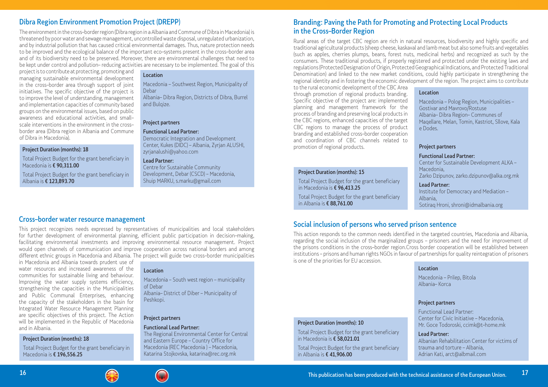## Dibra Region Environment Promotion Project (DREPP)

The environment in the cross–border region (Dibra region in a Albania and Commune of Dibra in Macedonia) is threatened by poor water and sewage management, uncontrolled waste disposal, unregulated urbanization, and by industrial pollution that has caused critical environmental damages. Thus, nature protection needs to be improved and the ecological balance of the important eco–systems present in the cross–border area and of its biodiversity need to be preserved. Moreover, there are environmental challenges that need to be kept under control and pollution– reducing activities are necessary to be implemented. The goal of this

> Albania– Dibra Region, Districts of Dibra, Burrel and Bulgize.

project is to contribute at protecting, promoting and managing sustainable environmental development in the cross–border area through support of joint initiatives. The specific objective of the project is to improve the level of understanding, management and implementation capacities of community based groups on the environmental issues, based on public awareness and educational activities, and small– scale interventions in the environment in the cross– border area (Dibra region in Albania and Commune of Dibra in Macedonia).

#### Project Duration (months): 18

Total Project Budget for the grant beneficiary in Macedonia is € 90,311.00

Total Project Budget for the grant beneficiary in Albania is € 123,893.70

### Location

Macedonia – Southwest Region, Municipality of Debar

#### Project partners

#### Functional Lead Partner:

Democratic Integration and Development Center, Kukes (DIDC) – Albania, Zyrjan ALUSHI, zyrjanalushi@yahoo.com

#### Lead Partner:

Centre for Sustainable Community Development, Debar (CSCD) – Macedonia, Shuip MARKU, s.marku@gmail.com

### Cross–border water resource management

This project recognizes needs expressed by representatives of municipalities and local stakeholders for further development of environmental planning, efficient public participation in decision–making, facilitating environmental investments and improving environmental resource management. Project would open channels of communication and improve cooperation across national borders and among different ethnic groups in Macedonia and Albania. Thе project will guide two cross–border municipalities

in Macedonia and Albania towards prudent use of water resources and increased awareness of the communities for sustainable living and behaviour. Improving the water supply systems efficiency, strengthening the capacities in the Municipalities and Public Communal Enterprises, enhancing the capacity of the stakeholders in the basin for Integrated Water Resource Management Planning are specific objectives of this project. The Action will be implemented in the Republic of Macedonia and in Albania.

#### Project Duration (months): 18

Total Project Budget for the grant beneficiary in Macedonia is € 196,556.25

#### Location

Macedonia – South west region – municipality of Debar Albania– District of Diber – Municipality of Peshkopi.

#### Project partners

#### Functional Lead Partner:

The Regional Environmental Center for Central and Eastern Europe – Country Office for Macedonia (REC Macedonia ) – Macedonia, Katarina Stojkovska, katarina@rec.org.mk

## Branding: Paving the Path for Promoting and Protecting Local Products in the Cross–Border Region

Rural areas of the target CBC region are rich in natural resources, biodiversity and highly specific and traditional agricultural products (sheep cheese, kaskaval and lamb meat but also some fruits and vegetables (such as apples, cherries plumps, beans, forest nuts, medicinal herbs) and recognized as such by the consumers. These traditional products, if properly registered and protected under the existing laws and regulations (Protected Designation of Origin, Protected Geographical Indications, and Protected Traditional Denomination) and linked to the new market conditions, could highly participate in strengthening the regional identity and in fostering the economic development of the region. The project aims to contribute to the rural economic development of the CBC Area through promotion of regional products branding. Specific objective of the project are: implemented planning and management framework for the process of branding and preserving local products in the CBC regions, enhanced capacities of the target CBC regions to manage the process of product branding and established cross–border cooperation and coordination of CBC channels related to promotion of regional products. **Location** Macedonia – Polog Region, Municipalities – Gostivar and Mavrovo/Rostuse Albania– Dibra Region– Communes of Maqellare, Melan, Tomin, Kastriot, Sllove, Kala e Dodes. Project partners

#### Project Duration (months): 15

Total Project Budget for the grant beneficiary in Macedonia is € 96,413.25

Total Project Budget for the grant beneficiary in Albania is € 88,761.00

#### Functional Lead Partner:

Center for Sustainable Development ALKA – Macedonia, Zarko Dzipunov, zarko.dzipunov@alka.org.mk

Lead Partner: Institute for Democracy and Mediation – Albania, Sotiraq Hroni, shroni@idmalbania.org

## Social inclusion of persons who served prison sentence

This action responds to the common needs identified in the targeted countries, Macedonia and Albania, regarding the social inclusion of the marginalized groups – prisoners and the need for improvement of the prisons conditions in the cross–border region.Cross border cooperation will be established between institutions – prisons and human rights NGOs in favour of partnerships for quality reintegration of prisoners is one of the priorities for EU accession.

#### Project Duration (months): 10

Total Project Budget for the grant beneficiary in Macedonia is € 58,021.01

Total Project Budget for the grant beneficiary in Albania is € 41,906.00



#### Location

Macedonia – Prilep, Bitola Albania– Korca

#### Project partners

Functional Lead Partner: Center for Civic Initiative – Macedonia, Mr. Goce Todoroski, ccimk@t–home.mk

#### Lead Partner:

Albanian Rehabilitation Center for victims of trauma and torture – Albania, Adrian Kati, arct@albmail.com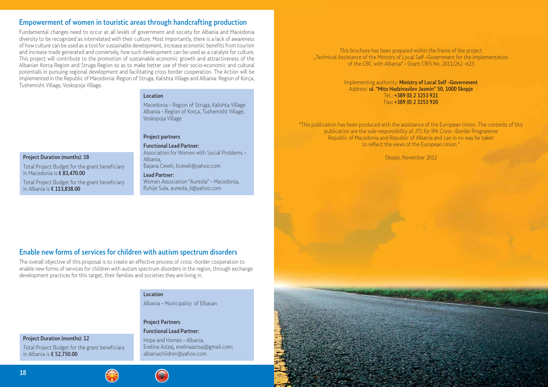This brochure has been prepared within the frame of the project "Technical Assistance of the Ministry of Local Self-Government for the implementation of the CBC with Albania" – Grant CRIS No. 2011/262 –623

> Implementing authority: Ministry of Local Self –Government Address: ul. "Mito Hadzivasilev Jasmin" 50, 1000 Skopje Tel.: +389 (0) 2 3253 921 Fax: +389 (0) 2 3253 920

"This publication has been produced with the assistance of the European Union. The contents of this publication are the sole responsibility of JTS for IPA Cross –Border Programme Republic of Macedonia and Republic of Albania and can in no way be taken to reflect the views of the European Union."

Skopje, November 2012

## Empowerment of women in touristic areas through handcrafting production

Fundamental changes need to occur at all levels of government and society for Albania and Macedonia diversity to be recognized as interrelated with their culture. Most importantly, there is a lack of awareness of how culture can be used as a tool for sustainable development, increase economic benefits from tourism and increase trade generated and conversely, how such development can be used as a catalyst for culture. This project will contribute to the promotion of sustainable economic growth and attractiveness of the Albanian Korca Region and Struga Region so as to make better use of their socio–economic and cultural potentials in pursuing regional development and facilitating cross border cooperation. The Action will be implemented in the Republic of Macedonia: Region of Struga, Kalishta Village and Albania: Region of Korça, Tushemisht Village, Voskopoja Village.

#### **Location**

## Enable new forms of services for children with autism spectrum disorders

The overall objective of this proposal is to create an effective process of cross –border cooperation to enable new forms of services for children with autism spectrum disorders in the region, through exchange development practices for this target, their families and societies they are living in.

Project Duration (months): 18

Total Project Budget for the grant beneficiary

in Macedonia is € 83,470.00

Total Project Budget for the grant beneficiary

in Albania is € 113,838.00

Project Duration (months): 12

Total Project Budget for the grant beneficiary in Albania is € 52,750.00

# $18$  This publication has been produced with the technical assistance of the technical assistance of the European Union. In the European Union. In the European Union. In the European Union. In the European Union. In the E





Macedonia – Region of Struga, Kalishta Village Albania – Region of Korça, Tushemisht Village, Voskopoja Village

#### Project partners

Functional Lead Partner: Association for Women with Social Problems – Albania, Bajana Ceveli, bceveli@yahoo.com

#### Lead Partner:

Women Association "Aureola" – Macedonia, Ruhije Sula, aureola\_6@yahoo.com

#### Location

Albania – Municipality of Elbasan

#### Project Partners

#### Functional Lead Partner:

Hope and Homes – Albania, Evelina Azizaj, evelinaazizaj@gmail.com; albaniachildren@yahoo.com